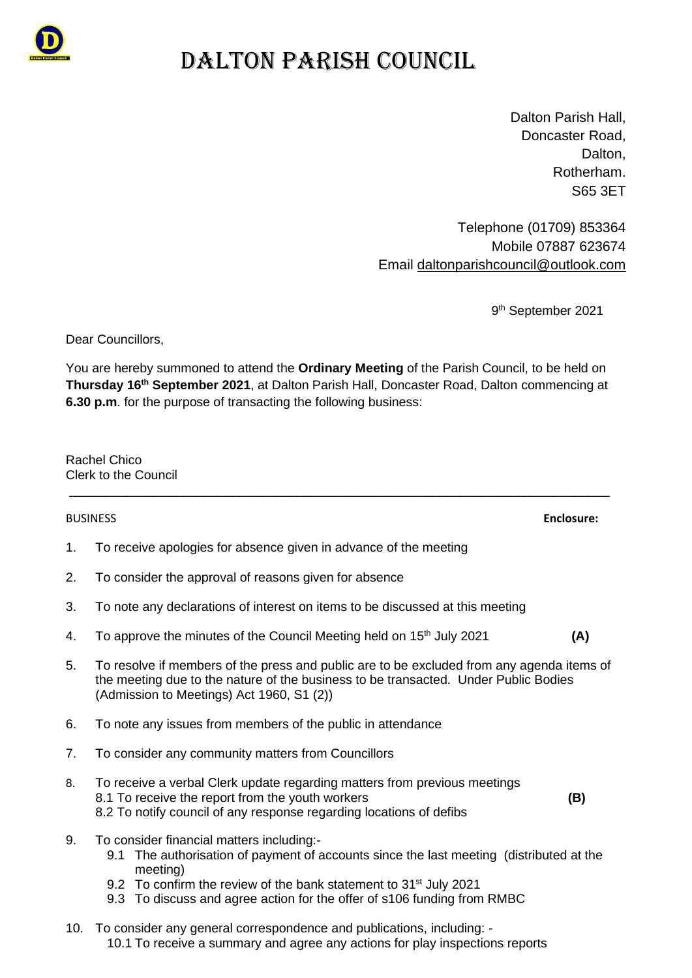

## DALTON PARISH COUNCIL

Dalton Parish Hall, Doncaster Road, Dalton. Rotherham. S65 3ET

Telephone (01709) 853364 Mobile 07887 623674 Email [daltonparishcouncil@outlook.com](mailto:daltonparishcouncil@outlook.com)

9<sup>th</sup> September 2021

Dear Councillors,

You are hereby summoned to attend the **Ordinary Meeting** of the Parish Council, to be held on **Thursday 16 th September 2021**, at Dalton Parish Hall, Doncaster Road, Dalton commencing at **6.30 p.m**. for the purpose of transacting the following business:

\_\_\_\_\_\_\_\_\_\_\_\_\_\_\_\_\_\_\_\_\_\_\_\_\_\_\_\_\_\_\_\_\_\_\_\_\_\_\_\_\_\_\_\_\_\_\_\_\_\_\_\_\_\_\_\_\_\_\_\_\_\_\_\_\_\_\_\_\_\_\_\_\_\_\_\_

Rachel Chico Clerk to the Council

## BUSINESS **Enclosure:**

1. To receive apologies for absence given in advance of the meeting

- 2. To consider the approval of reasons given for absence
- 3. To note any declarations of interest on items to be discussed at this meeting
- 4. To approve the minutes of the Council Meeting held on 15 th July 2021 **(A)**
- 5. To resolve if members of the press and public are to be excluded from any agenda items of the meeting due to the nature of the business to be transacted. Under Public Bodies (Admission to Meetings) Act 1960, S1 (2))
- 6. To note any issues from members of the public in attendance
- 7. To consider any community matters from Councillors
- 8. To receive a verbal Clerk update regarding matters from previous meetings 8.1 To receive the report from the youth workers **(B)** 8.2 To notify council of any response regarding locations of defibs
- 9. To consider financial matters including:-
	- 9.1 The authorisation of payment of accounts since the last meeting (distributed at the meeting)
	- 9.2 To confirm the review of the bank statement to 31<sup>st</sup> July 2021
	- 9.3 To discuss and agree action for the offer of s106 funding from RMBC
- 10. To consider any general correspondence and publications, including: 10.1 To receive a summary and agree any actions for play inspections reports